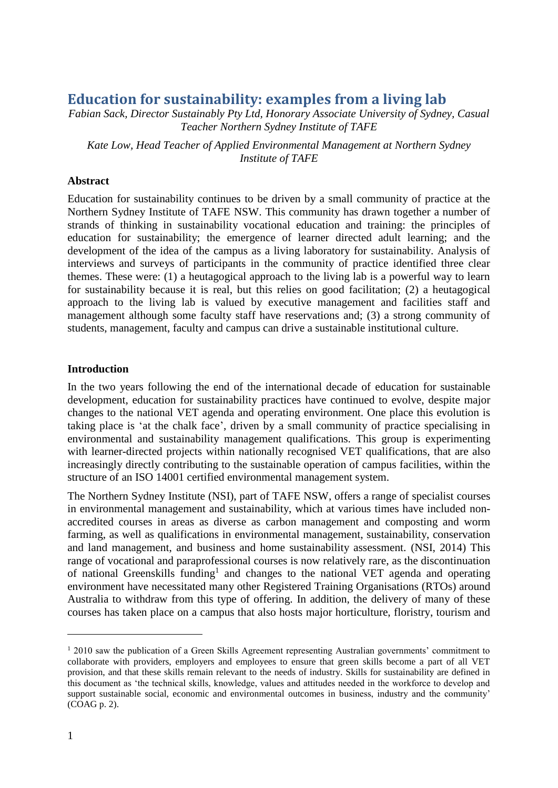# **Education for sustainability: examples from a living lab**

*Fabian Sack, Director Sustainably Pty Ltd, Honorary Associate University of Sydney, Casual Teacher Northern Sydney Institute of TAFE*

*Kate Low, Head Teacher of Applied Environmental Management at Northern Sydney Institute of TAFE*

#### **Abstract**

Education for sustainability continues to be driven by a small community of practice at the Northern Sydney Institute of TAFE NSW. This community has drawn together a number of strands of thinking in sustainability vocational education and training: the principles of education for sustainability; the emergence of learner directed adult learning; and the development of the idea of the campus as a living laboratory for sustainability. Analysis of interviews and surveys of participants in the community of practice identified three clear themes. These were: (1) a heutagogical approach to the living lab is a powerful way to learn for sustainability because it is real, but this relies on good facilitation; (2) a heutagogical approach to the living lab is valued by executive management and facilities staff and management although some faculty staff have reservations and; (3) a strong community of students, management, faculty and campus can drive a sustainable institutional culture.

#### **Introduction**

In the two years following the end of the international decade of education for sustainable development, education for sustainability practices have continued to evolve, despite major changes to the national VET agenda and operating environment. One place this evolution is taking place is 'at the chalk face', driven by a small community of practice specialising in environmental and sustainability management qualifications. This group is experimenting with learner-directed projects within nationally recognised VET qualifications, that are also increasingly directly contributing to the sustainable operation of campus facilities, within the structure of an ISO 14001 certified environmental management system.

The Northern Sydney Institute (NSI), part of TAFE NSW, offers a range of specialist courses in environmental management and sustainability, which at various times have included nonaccredited courses in areas as diverse as carbon management and composting and worm farming, as well as qualifications in environmental management, sustainability, conservation and land management, and business and home sustainability assessment. (NSI, 2014) This range of vocational and paraprofessional courses is now relatively rare, as the discontinuation of national Greenskills funding<sup>1</sup> and changes to the national VET agenda and operating environment have necessitated many other Registered Training Organisations (RTOs) around Australia to withdraw from this type of offering. In addition, the delivery of many of these courses has taken place on a campus that also hosts major horticulture, floristry, tourism and

1

<sup>&</sup>lt;sup>1</sup> 2010 saw the publication of a Green Skills Agreement representing Australian governments' commitment to collaborate with providers, employers and employees to ensure that green skills become a part of all VET provision, and that these skills remain relevant to the needs of industry. Skills for sustainability are defined in this document as 'the technical skills, knowledge, values and attitudes needed in the workforce to develop and support sustainable social, economic and environmental outcomes in business, industry and the community' (COAG p. 2).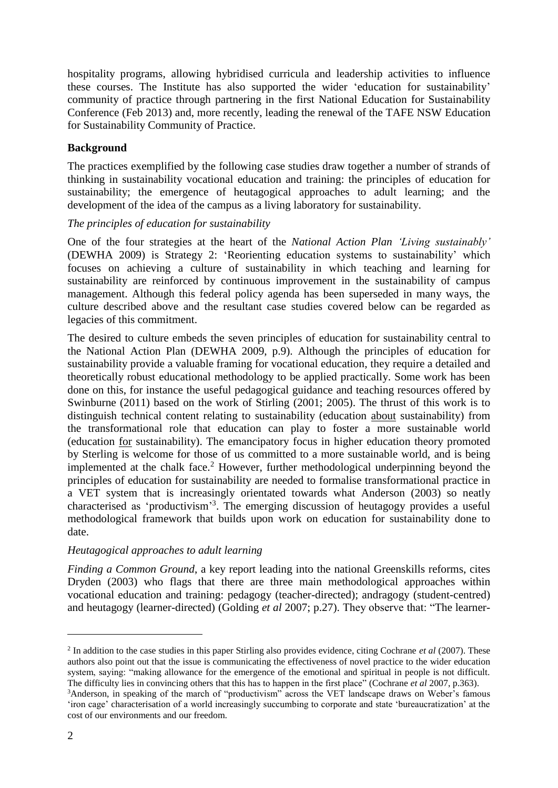hospitality programs, allowing hybridised curricula and leadership activities to influence these courses. The Institute has also supported the wider 'education for sustainability' community of practice through partnering in the first National Education for Sustainability Conference (Feb 2013) and, more recently, leading the renewal of the TAFE NSW Education for Sustainability Community of Practice.

# **Background**

The practices exemplified by the following case studies draw together a number of strands of thinking in sustainability vocational education and training: the principles of education for sustainability; the emergence of heutagogical approaches to adult learning; and the development of the idea of the campus as a living laboratory for sustainability.

# *The principles of education for sustainability*

One of the four strategies at the heart of the *National Action Plan 'Living sustainably'* (DEWHA 2009) is Strategy 2: 'Reorienting education systems to sustainability' which focuses on achieving a culture of sustainability in which teaching and learning for sustainability are reinforced by continuous improvement in the sustainability of campus management. Although this federal policy agenda has been superseded in many ways, the culture described above and the resultant case studies covered below can be regarded as legacies of this commitment.

The desired to culture embeds the seven principles of education for sustainability central to the National Action Plan (DEWHA 2009, p.9). Although the principles of education for sustainability provide a valuable framing for vocational education, they require a detailed and theoretically robust educational methodology to be applied practically. Some work has been done on this, for instance the useful pedagogical guidance and teaching resources offered by Swinburne (2011) based on the work of Stirling (2001; 2005). The thrust of this work is to distinguish technical content relating to sustainability (education about sustainability) from the transformational role that education can play to foster a more sustainable world (education for sustainability). The emancipatory focus in higher education theory promoted by Sterling is welcome for those of us committed to a more sustainable world, and is being implemented at the chalk face.<sup>2</sup> However, further methodological underpinning beyond the principles of education for sustainability are needed to formalise transformational practice in a VET system that is increasingly orientated towards what Anderson (2003) so neatly characterised as 'productivism' 3 . The emerging discussion of heutagogy provides a useful methodological framework that builds upon work on education for sustainability done to date.

# *Heutagogical approaches to adult learning*

*Finding a Common Ground*, a key report leading into the national Greenskills reforms, cites Dryden (2003) who flags that there are three main methodological approaches within vocational education and training: pedagogy (teacher-directed); andragogy (student-centred) and heutagogy (learner-directed) (Golding *et al* 2007; p.27). They observe that: "The learner-

1

<sup>2</sup> In addition to the case studies in this paper Stirling also provides evidence, citing Cochrane *et al* (2007). These authors also point out that the issue is communicating the effectiveness of novel practice to the wider education system, saying: "making allowance for the emergence of the emotional and spiritual in people is not difficult. The difficulty lies in convincing others that this has to happen in the first place" (Cochrane *et al* 2007, p.363).

<sup>&</sup>lt;sup>3</sup>Anderson, in speaking of the march of "productivism" across the VET landscape draws on Weber's famous 'iron cage' characterisation of a world increasingly succumbing to corporate and state 'bureaucratization' at the cost of our environments and our freedom.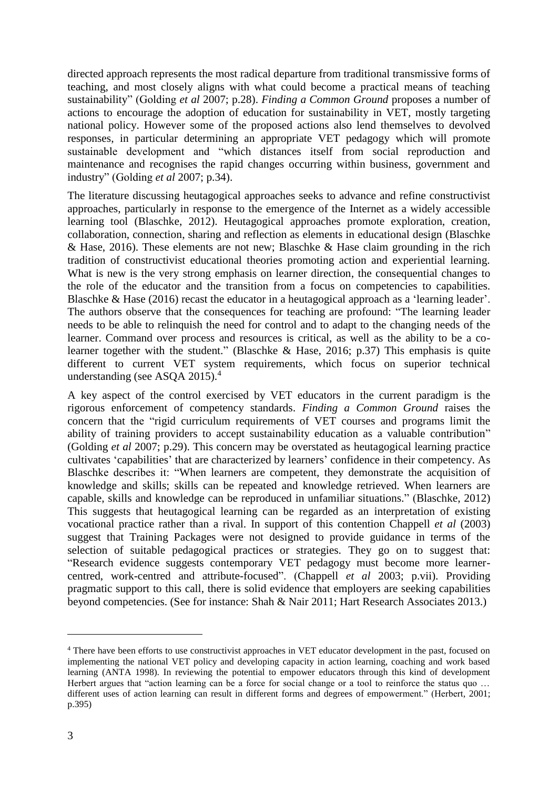directed approach represents the most radical departure from traditional transmissive forms of teaching, and most closely aligns with what could become a practical means of teaching sustainability" (Golding *et al* 2007; p.28). *Finding a Common Ground* proposes a number of actions to encourage the adoption of education for sustainability in VET, mostly targeting national policy. However some of the proposed actions also lend themselves to devolved responses, in particular determining an appropriate VET pedagogy which will promote sustainable development and "which distances itself from social reproduction and maintenance and recognises the rapid changes occurring within business, government and industry" (Golding *et al* 2007; p.34).

The literature discussing heutagogical approaches seeks to advance and refine constructivist approaches, particularly in response to the emergence of the Internet as a widely accessible learning tool (Blaschke, 2012). Heutagogical approaches promote exploration, creation, collaboration, connection, sharing and reflection as elements in educational design (Blaschke & Hase, 2016). These elements are not new; Blaschke & Hase claim grounding in the rich tradition of constructivist educational theories promoting action and experiential learning. What is new is the very strong emphasis on learner direction, the consequential changes to the role of the educator and the transition from a focus on competencies to capabilities. Blaschke & Hase (2016) recast the educator in a heutagogical approach as a 'learning leader'. The authors observe that the consequences for teaching are profound: "The learning leader needs to be able to relinquish the need for control and to adapt to the changing needs of the learner. Command over process and resources is critical, as well as the ability to be a colearner together with the student." (Blaschke & Hase, 2016; p.37) This emphasis is quite different to current VET system requirements, which focus on superior technical understanding (see ASQA 2015).<sup>4</sup>

A key aspect of the control exercised by VET educators in the current paradigm is the rigorous enforcement of competency standards. *Finding a Common Ground* raises the concern that the "rigid curriculum requirements of VET courses and programs limit the ability of training providers to accept sustainability education as a valuable contribution" (Golding *et al* 2007; p.29). This concern may be overstated as heutagogical learning practice cultivates 'capabilities' that are characterized by learners' confidence in their competency. As Blaschke describes it: "When learners are competent, they demonstrate the acquisition of knowledge and skills; skills can be repeated and knowledge retrieved. When learners are capable, skills and knowledge can be reproduced in unfamiliar situations." (Blaschke, 2012) This suggests that heutagogical learning can be regarded as an interpretation of existing vocational practice rather than a rival. In support of this contention Chappell *et al* (2003) suggest that Training Packages were not designed to provide guidance in terms of the selection of suitable pedagogical practices or strategies. They go on to suggest that: "Research evidence suggests contemporary VET pedagogy must become more learnercentred, work-centred and attribute-focused". (Chappell *et al* 2003; p.vii). Providing pragmatic support to this call, there is solid evidence that employers are seeking capabilities beyond competencies. (See for instance: Shah & Nair 2011; Hart Research Associates 2013.)

1

<sup>4</sup> There have been efforts to use constructivist approaches in VET educator development in the past, focused on implementing the national VET policy and developing capacity in action learning, coaching and work based learning (ANTA 1998). In reviewing the potential to empower educators through this kind of development Herbert argues that "action learning can be a force for social change or a tool to reinforce the status quo … different uses of action learning can result in different forms and degrees of empowerment." (Herbert, 2001; p.395)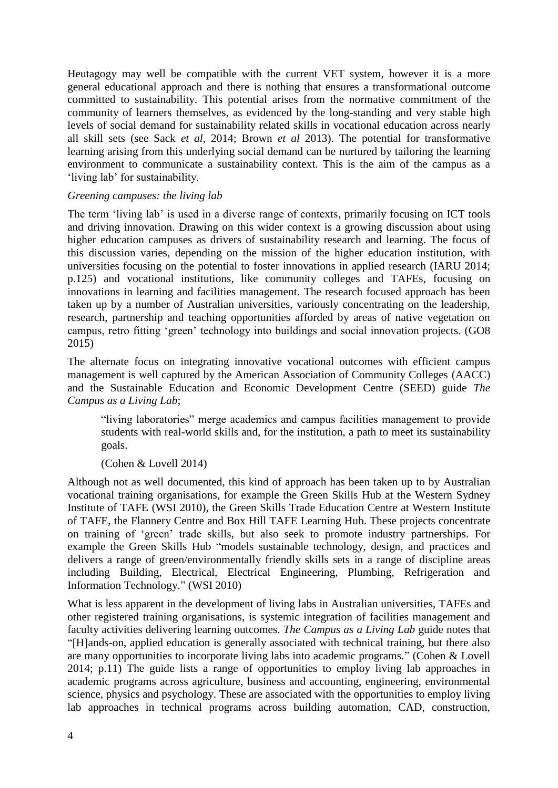Heutagogy may well be compatible with the current VET system, however it is a more general educational approach and there is nothing that ensures a transformational outcome committed to sustainability. This potential arises from the normative commitment of the community of learners themselves, as evidenced by the long-standing and very stable high levels of social demand for sustainability related skills in vocational education across nearly all skill sets (see Sack *et al*, 2014; Brown *et al* 2013). The potential for transformative learning arising from this underlying social demand can be nurtured by tailoring the learning environment to communicate a sustainability context. This is the aim of the campus as a 'living lab' for sustainability.

#### *Greening campuses: the living lab*

The term 'living lab' is used in a diverse range of contexts, primarily focusing on ICT tools and driving innovation. Drawing on this wider context is a growing discussion about using higher education campuses as drivers of sustainability research and learning. The focus of this discussion varies, depending on the mission of the higher education institution, with universities focusing on the potential to foster innovations in applied research (IARU 2014; p.125) and vocational institutions, like community colleges and TAFEs, focusing on innovations in learning and facilities management. The research focused approach has been taken up by a number of Australian universities, variously concentrating on the leadership, research, partnership and teaching opportunities afforded by areas of native vegetation on campus, retro fitting 'green' technology into buildings and social innovation projects. (GO8 2015)

The alternate focus on integrating innovative vocational outcomes with efficient campus management is well captured by the American Association of Community Colleges (AACC) and the Sustainable Education and Economic Development Centre (SEED) guide *The Campus as a Living Lab*;

"living laboratories" merge academics and campus facilities management to provide students with real-world skills and, for the institution, a path to meet its sustainability goals.

# (Cohen & Lovell 2014)

Although not as well documented, this kind of approach has been taken up to by Australian vocational training organisations, for example the Green Skills Hub at the Western Sydney Institute of TAFE (WSI 2010), the Green Skills Trade Education Centre at Western Institute of TAFE, the Flannery Centre and Box Hill TAFE Learning Hub. These projects concentrate on training of 'green' trade skills, but also seek to promote industry partnerships. For example the Green Skills Hub "models sustainable technology, design, and practices and delivers a range of green/environmentally friendly skills sets in a range of discipline areas including Building, Electrical, Electrical Engineering, Plumbing, Refrigeration and Information Technology." (WSI 2010)

What is less apparent in the development of living labs in Australian universities, TAFEs and other registered training organisations, is systemic integration of facilities management and faculty activities delivering learning outcomes. *The Campus as a Living Lab* guide notes that "[H]ands-on, applied education is generally associated with technical training, but there also are many opportunities to incorporate living labs into academic programs." (Cohen & Lovell 2014; p.11) The guide lists a range of opportunities to employ living lab approaches in academic programs across agriculture, business and accounting, engineering, environmental science, physics and psychology. These are associated with the opportunities to employ living lab approaches in technical programs across building automation, CAD, construction,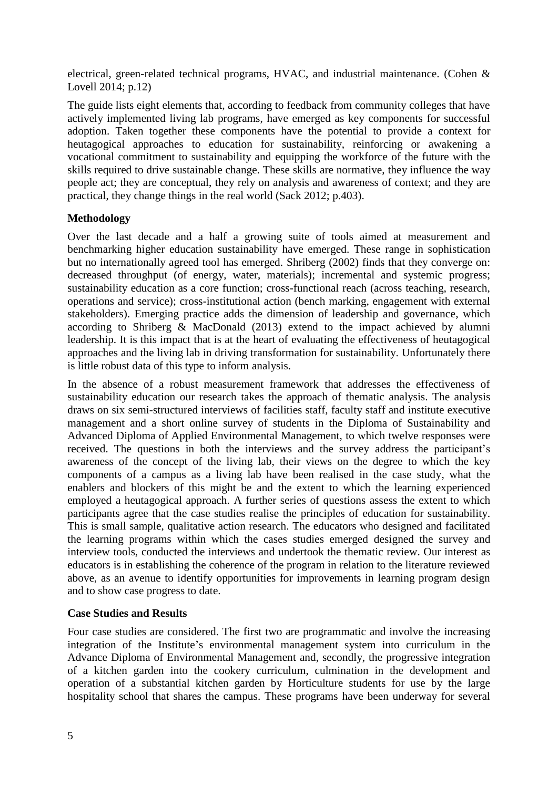electrical, green-related technical programs, HVAC, and industrial maintenance. (Cohen & Lovell 2014; p.12)

The guide lists eight elements that, according to feedback from community colleges that have actively implemented living lab programs, have emerged as key components for successful adoption. Taken together these components have the potential to provide a context for heutagogical approaches to education for sustainability, reinforcing or awakening a vocational commitment to sustainability and equipping the workforce of the future with the skills required to drive sustainable change. These skills are normative, they influence the way people act; they are conceptual, they rely on analysis and awareness of context; and they are practical, they change things in the real world (Sack 2012; p.403).

## **Methodology**

Over the last decade and a half a growing suite of tools aimed at measurement and benchmarking higher education sustainability have emerged. These range in sophistication but no internationally agreed tool has emerged. Shriberg (2002) finds that they converge on: decreased throughput (of energy, water, materials); incremental and systemic progress; sustainability education as a core function; cross-functional reach (across teaching, research, operations and service); cross-institutional action (bench marking, engagement with external stakeholders). Emerging practice adds the dimension of leadership and governance, which according to Shriberg & MacDonald (2013) extend to the impact achieved by alumni leadership. It is this impact that is at the heart of evaluating the effectiveness of heutagogical approaches and the living lab in driving transformation for sustainability. Unfortunately there is little robust data of this type to inform analysis.

In the absence of a robust measurement framework that addresses the effectiveness of sustainability education our research takes the approach of thematic analysis. The analysis draws on six semi-structured interviews of facilities staff, faculty staff and institute executive management and a short online survey of students in the Diploma of Sustainability and Advanced Diploma of Applied Environmental Management, to which twelve responses were received. The questions in both the interviews and the survey address the participant's awareness of the concept of the living lab, their views on the degree to which the key components of a campus as a living lab have been realised in the case study, what the enablers and blockers of this might be and the extent to which the learning experienced employed a heutagogical approach. A further series of questions assess the extent to which participants agree that the case studies realise the principles of education for sustainability. This is small sample, qualitative action research. The educators who designed and facilitated the learning programs within which the cases studies emerged designed the survey and interview tools, conducted the interviews and undertook the thematic review. Our interest as educators is in establishing the coherence of the program in relation to the literature reviewed above, as an avenue to identify opportunities for improvements in learning program design and to show case progress to date.

#### **Case Studies and Results**

Four case studies are considered. The first two are programmatic and involve the increasing integration of the Institute's environmental management system into curriculum in the Advance Diploma of Environmental Management and, secondly, the progressive integration of a kitchen garden into the cookery curriculum, culmination in the development and operation of a substantial kitchen garden by Horticulture students for use by the large hospitality school that shares the campus. These programs have been underway for several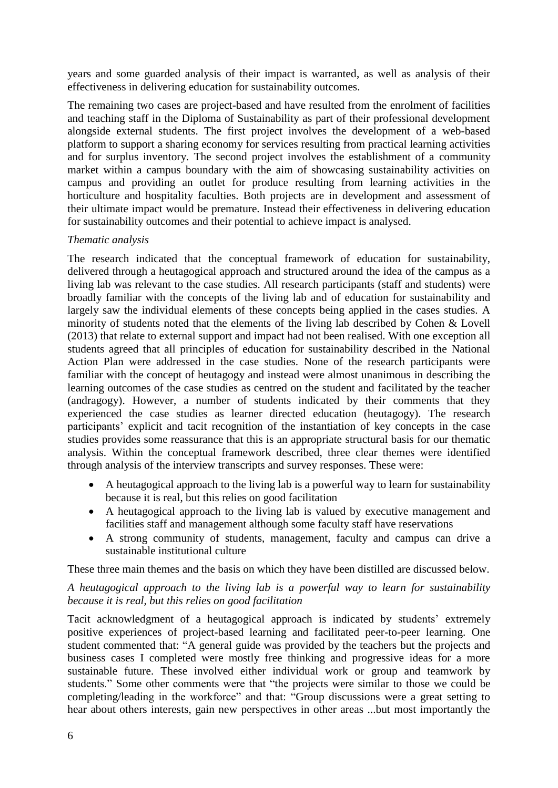years and some guarded analysis of their impact is warranted, as well as analysis of their effectiveness in delivering education for sustainability outcomes.

The remaining two cases are project-based and have resulted from the enrolment of facilities and teaching staff in the Diploma of Sustainability as part of their professional development alongside external students. The first project involves the development of a web-based platform to support a sharing economy for services resulting from practical learning activities and for surplus inventory. The second project involves the establishment of a community market within a campus boundary with the aim of showcasing sustainability activities on campus and providing an outlet for produce resulting from learning activities in the horticulture and hospitality faculties. Both projects are in development and assessment of their ultimate impact would be premature. Instead their effectiveness in delivering education for sustainability outcomes and their potential to achieve impact is analysed.

## *Thematic analysis*

The research indicated that the conceptual framework of education for sustainability, delivered through a heutagogical approach and structured around the idea of the campus as a living lab was relevant to the case studies. All research participants (staff and students) were broadly familiar with the concepts of the living lab and of education for sustainability and largely saw the individual elements of these concepts being applied in the cases studies. A minority of students noted that the elements of the living lab described by Cohen & Lovell (2013) that relate to external support and impact had not been realised. With one exception all students agreed that all principles of education for sustainability described in the National Action Plan were addressed in the case studies. None of the research participants were familiar with the concept of heutagogy and instead were almost unanimous in describing the learning outcomes of the case studies as centred on the student and facilitated by the teacher (andragogy). However, a number of students indicated by their comments that they experienced the case studies as learner directed education (heutagogy). The research participants' explicit and tacit recognition of the instantiation of key concepts in the case studies provides some reassurance that this is an appropriate structural basis for our thematic analysis. Within the conceptual framework described, three clear themes were identified through analysis of the interview transcripts and survey responses. These were:

- A heutagogical approach to the living lab is a powerful way to learn for sustainability because it is real, but this relies on good facilitation
- A heutagogical approach to the living lab is valued by executive management and facilities staff and management although some faculty staff have reservations
- A strong community of students, management, faculty and campus can drive a sustainable institutional culture

These three main themes and the basis on which they have been distilled are discussed below.

## *A heutagogical approach to the living lab is a powerful way to learn for sustainability because it is real, but this relies on good facilitation*

Tacit acknowledgment of a heutagogical approach is indicated by students' extremely positive experiences of project-based learning and facilitated peer-to-peer learning. One student commented that: "A general guide was provided by the teachers but the projects and business cases I completed were mostly free thinking and progressive ideas for a more sustainable future. These involved either individual work or group and teamwork by students." Some other comments were that "the projects were similar to those we could be completing/leading in the workforce" and that: "Group discussions were a great setting to hear about others interests, gain new perspectives in other areas ...but most importantly the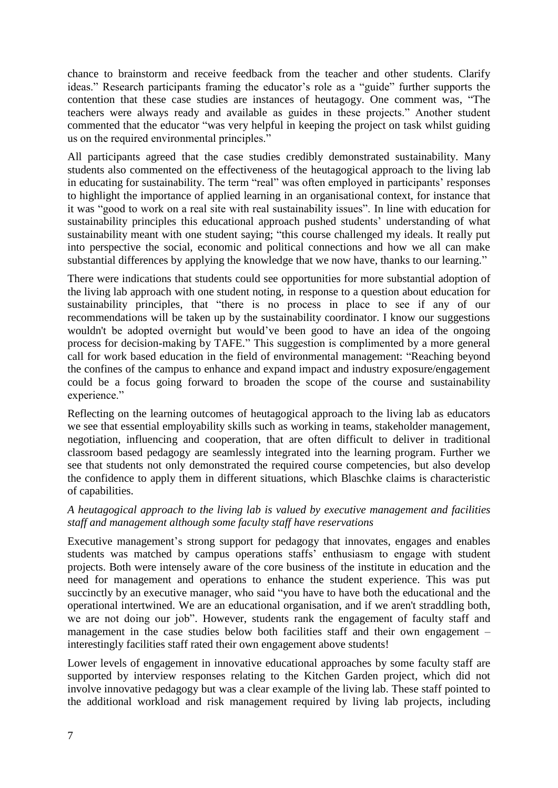chance to brainstorm and receive feedback from the teacher and other students. Clarify ideas." Research participants framing the educator's role as a "guide" further supports the contention that these case studies are instances of heutagogy. One comment was, "The teachers were always ready and available as guides in these projects." Another student commented that the educator "was very helpful in keeping the project on task whilst guiding us on the required environmental principles."

All participants agreed that the case studies credibly demonstrated sustainability. Many students also commented on the effectiveness of the heutagogical approach to the living lab in educating for sustainability. The term "real" was often employed in participants' responses to highlight the importance of applied learning in an organisational context, for instance that it was "good to work on a real site with real sustainability issues". In line with education for sustainability principles this educational approach pushed students' understanding of what sustainability meant with one student saying; "this course challenged my ideals. It really put into perspective the social, economic and political connections and how we all can make substantial differences by applying the knowledge that we now have, thanks to our learning."

There were indications that students could see opportunities for more substantial adoption of the living lab approach with one student noting, in response to a question about education for sustainability principles, that "there is no process in place to see if any of our recommendations will be taken up by the sustainability coordinator. I know our suggestions wouldn't be adopted overnight but would've been good to have an idea of the ongoing process for decision-making by TAFE." This suggestion is complimented by a more general call for work based education in the field of environmental management: "Reaching beyond the confines of the campus to enhance and expand impact and industry exposure/engagement could be a focus going forward to broaden the scope of the course and sustainability experience."

Reflecting on the learning outcomes of heutagogical approach to the living lab as educators we see that essential employability skills such as working in teams, stakeholder management, negotiation, influencing and cooperation, that are often difficult to deliver in traditional classroom based pedagogy are seamlessly integrated into the learning program. Further we see that students not only demonstrated the required course competencies, but also develop the confidence to apply them in different situations, which Blaschke claims is characteristic of capabilities.

## *A heutagogical approach to the living lab is valued by executive management and facilities staff and management although some faculty staff have reservations*

Executive management's strong support for pedagogy that innovates, engages and enables students was matched by campus operations staffs' enthusiasm to engage with student projects. Both were intensely aware of the core business of the institute in education and the need for management and operations to enhance the student experience. This was put succinctly by an executive manager, who said "you have to have both the educational and the operational intertwined. We are an educational organisation, and if we aren't straddling both, we are not doing our job". However, students rank the engagement of faculty staff and management in the case studies below both facilities staff and their own engagement – interestingly facilities staff rated their own engagement above students!

Lower levels of engagement in innovative educational approaches by some faculty staff are supported by interview responses relating to the Kitchen Garden project, which did not involve innovative pedagogy but was a clear example of the living lab. These staff pointed to the additional workload and risk management required by living lab projects, including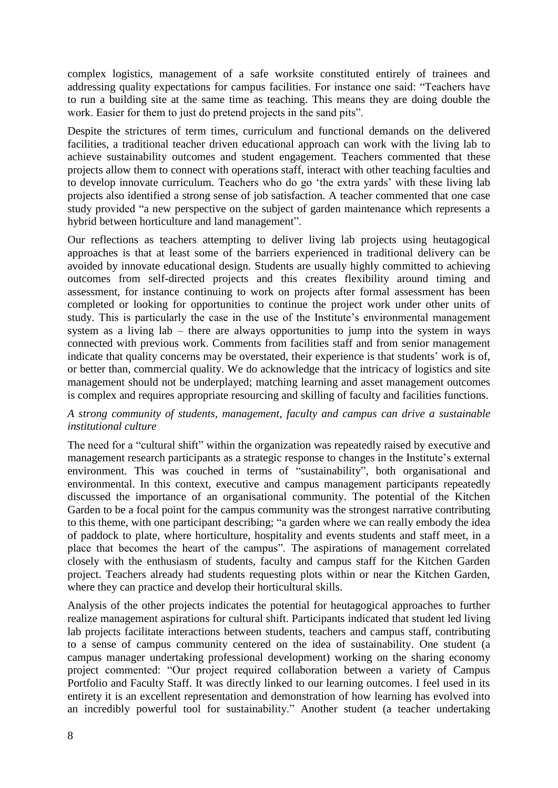complex logistics, management of a safe worksite constituted entirely of trainees and addressing quality expectations for campus facilities. For instance one said: "Teachers have to run a building site at the same time as teaching. This means they are doing double the work. Easier for them to just do pretend projects in the sand pits".

Despite the strictures of term times, curriculum and functional demands on the delivered facilities, a traditional teacher driven educational approach can work with the living lab to achieve sustainability outcomes and student engagement. Teachers commented that these projects allow them to connect with operations staff, interact with other teaching faculties and to develop innovate curriculum. Teachers who do go 'the extra yards' with these living lab projects also identified a strong sense of job satisfaction. A teacher commented that one case study provided "a new perspective on the subject of garden maintenance which represents a hybrid between horticulture and land management".

Our reflections as teachers attempting to deliver living lab projects using heutagogical approaches is that at least some of the barriers experienced in traditional delivery can be avoided by innovate educational design. Students are usually highly committed to achieving outcomes from self-directed projects and this creates flexibility around timing and assessment, for instance continuing to work on projects after formal assessment has been completed or looking for opportunities to continue the project work under other units of study. This is particularly the case in the use of the Institute's environmental management system as a living lab – there are always opportunities to jump into the system in ways connected with previous work. Comments from facilities staff and from senior management indicate that quality concerns may be overstated, their experience is that students' work is of, or better than, commercial quality. We do acknowledge that the intricacy of logistics and site management should not be underplayed; matching learning and asset management outcomes is complex and requires appropriate resourcing and skilling of faculty and facilities functions.

## *A strong community of students, management, faculty and campus can drive a sustainable institutional culture*

The need for a "cultural shift" within the organization was repeatedly raised by executive and management research participants as a strategic response to changes in the Institute's external environment. This was couched in terms of "sustainability", both organisational and environmental. In this context, executive and campus management participants repeatedly discussed the importance of an organisational community. The potential of the Kitchen Garden to be a focal point for the campus community was the strongest narrative contributing to this theme, with one participant describing; "a garden where we can really embody the idea of paddock to plate, where horticulture, hospitality and events students and staff meet, in a place that becomes the heart of the campus". The aspirations of management correlated closely with the enthusiasm of students, faculty and campus staff for the Kitchen Garden project. Teachers already had students requesting plots within or near the Kitchen Garden, where they can practice and develop their horticultural skills.

Analysis of the other projects indicates the potential for heutagogical approaches to further realize management aspirations for cultural shift. Participants indicated that student led living lab projects facilitate interactions between students, teachers and campus staff, contributing to a sense of campus community centered on the idea of sustainability. One student (a campus manager undertaking professional development) working on the sharing economy project commented: "Our project required collaboration between a variety of Campus Portfolio and Faculty Staff. It was directly linked to our learning outcomes. I feel used in its entirety it is an excellent representation and demonstration of how learning has evolved into an incredibly powerful tool for sustainability." Another student (a teacher undertaking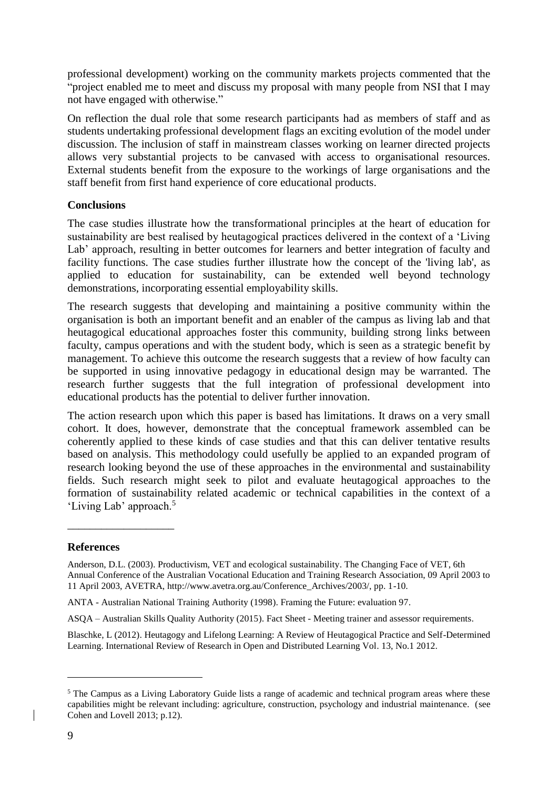professional development) working on the community markets projects commented that the "project enabled me to meet and discuss my proposal with many people from NSI that I may not have engaged with otherwise."

On reflection the dual role that some research participants had as members of staff and as students undertaking professional development flags an exciting evolution of the model under discussion. The inclusion of staff in mainstream classes working on learner directed projects allows very substantial projects to be canvased with access to organisational resources. External students benefit from the exposure to the workings of large organisations and the staff benefit from first hand experience of core educational products.

## **Conclusions**

The case studies illustrate how the transformational principles at the heart of education for sustainability are best realised by heutagogical practices delivered in the context of a 'Living Lab' approach, resulting in better outcomes for learners and better integration of faculty and facility functions. The case studies further illustrate how the concept of the 'living lab', as applied to education for sustainability, can be extended well beyond technology demonstrations, incorporating essential employability skills.

The research suggests that developing and maintaining a positive community within the organisation is both an important benefit and an enabler of the campus as living lab and that heutagogical educational approaches foster this community, building strong links between faculty, campus operations and with the student body, which is seen as a strategic benefit by management. To achieve this outcome the research suggests that a review of how faculty can be supported in using innovative pedagogy in educational design may be warranted. The research further suggests that the full integration of professional development into educational products has the potential to deliver further innovation.

The action research upon which this paper is based has limitations. It draws on a very small cohort. It does, however, demonstrate that the conceptual framework assembled can be coherently applied to these kinds of case studies and that this can deliver tentative results based on analysis. This methodology could usefully be applied to an expanded program of research looking beyond the use of these approaches in the environmental and sustainability fields. Such research might seek to pilot and evaluate heutagogical approaches to the formation of sustainability related academic or technical capabilities in the context of a 'Living Lab' approach.<sup>5</sup>

#### **References**

\_\_\_\_\_\_\_\_\_\_\_\_\_\_\_\_\_\_\_

Anderson, D.L. (2003). Productivism, VET and ecological sustainability. The Changing Face of VET, 6th Annual Conference of the Australian Vocational Education and Training Research Association, 09 April 2003 to 11 April 2003, AVETRA, http://www.avetra.org.au/Conference\_Archives/2003/, pp. 1-10.

ANTA - Australian National Training Authority (1998). Framing the Future: evaluation 97.

ASQA – Australian Skills Quality Authority (2015). Fact Sheet - Meeting trainer and assessor requirements.

Blaschke, L (2012). Heutagogy and Lifelong Learning: A Review of Heutagogical Practice and Self-Determined Learning. International Review of Research in Open and Distributed Learning Vol. 13, No.1 2012.

<u>.</u>

<sup>&</sup>lt;sup>5</sup> The Campus as a Living Laboratory Guide lists a range of academic and technical program areas where these capabilities might be relevant including: agriculture, construction, psychology and industrial maintenance. (see Cohen and Lovell 2013; p.12).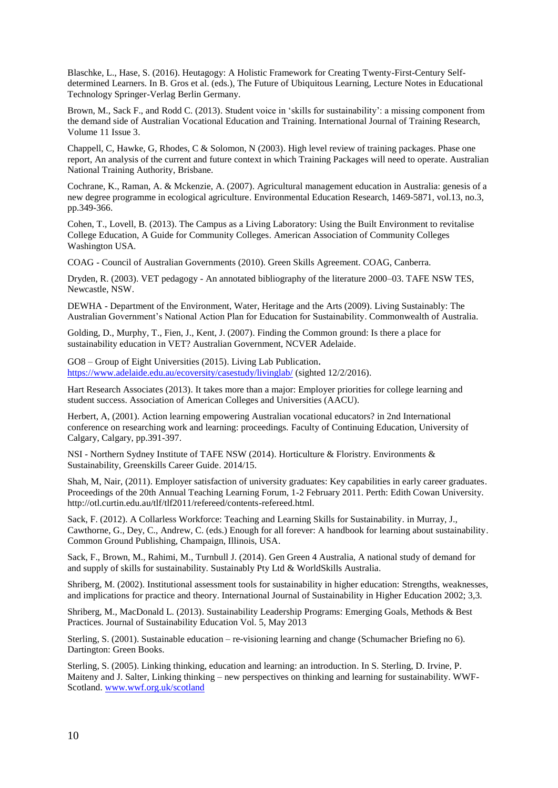Blaschke, L., Hase, S. (2016). Heutagogy: A Holistic Framework for Creating Twenty-First-Century Selfdetermined Learners. In B. Gros et al. (eds.), The Future of Ubiquitous Learning, Lecture Notes in Educational Technology Springer-Verlag Berlin Germany.

Brown, M., Sack F., and Rodd C. (2013). Student voice in 'skills for sustainability': a missing component from the demand side of Australian Vocational Education and Training. International Journal of Training Research, Volume 11 Issue 3.

Chappell, C, Hawke, G, Rhodes, C & Solomon, N (2003). High level review of training packages. Phase one report, An analysis of the current and future context in which Training Packages will need to operate. Australian National Training Authority, Brisbane.

Cochrane, K., Raman, A. & Mckenzie, A. (2007). Agricultural management education in Australia: genesis of a new degree programme in ecological agriculture. Environmental Education Research, 1469-5871, vol.13, no.3, pp.349-366.

Cohen, T., Lovell, B. (2013). The Campus as a Living Laboratory: Using the Built Environment to revitalise College Education, A Guide for Community Colleges. American Association of Community Colleges Washington USA.

COAG - Council of Australian Governments (2010). Green Skills Agreement. COAG, Canberra.

Dryden, R. (2003). VET pedagogy - An annotated bibliography of the literature 2000–03. TAFE NSW TES, Newcastle, NSW.

DEWHA - Department of the Environment, Water, Heritage and the Arts (2009). Living Sustainably: The Australian Government's National Action Plan for Education for Sustainability. Commonwealth of Australia.

Golding, D., Murphy, T., Fien, J., Kent, J. (2007). Finding the Common ground: Is there a place for sustainability education in VET? Australian Government, NCVER Adelaide.

GO8 – Group of Eight Universities (2015). Living Lab Publication. <https://www.adelaide.edu.au/ecoversity/casestudy/livinglab/> (sighted 12/2/2016).

Hart Research Associates (2013). It takes more than a major: Employer priorities for college learning and student success. Association of American Colleges and Universities (AACU).

Herbert, A, (2001). Action learning empowering Australian vocational educators? in 2nd International conference on researching work and learning: proceedings. Faculty of Continuing Education, University of Calgary, Calgary, pp.391-397.

NSI - Northern Sydney Institute of TAFE NSW (2014). Horticulture & Floristry. Environments & Sustainability, Greenskills Career Guide. 2014/15.

Shah, M, Nair, (2011). Employer satisfaction of university graduates: Key capabilities in early career graduates. Proceedings of the 20th Annual Teaching Learning Forum, 1-2 February 2011. Perth: Edith Cowan University. http://otl.curtin.edu.au/tlf/tlf2011/refereed/contents-refereed.html.

Sack, F. (2012). A Collarless Workforce: Teaching and Learning Skills for Sustainability. in Murray, J., Cawthorne, G., Dey, C., Andrew, C. (eds.) Enough for all forever: A handbook for learning about sustainability. Common Ground Publishing, Champaign, Illinois, USA.

Sack, F., Brown, M., Rahimi, M., Turnbull J. (2014). Gen Green 4 Australia, A national study of demand for and supply of skills for sustainability. Sustainably Pty Ltd & WorldSkills Australia.

Shriberg, M. (2002). Institutional assessment tools for sustainability in higher education: Strengths, weaknesses, and implications for practice and theory. International Journal of Sustainability in Higher Education 2002; 3,3.

Shriberg, M., MacDonald L. (2013). Sustainability Leadership Programs: Emerging Goals, Methods & Best Practices. Journal of Sustainability Education Vol. 5, May 2013

Sterling, S. (2001). Sustainable education – re-visioning learning and change (Schumacher Briefing no 6). Dartington: Green Books.

Sterling, S. (2005). Linking thinking, education and learning: an introduction. In S. Sterling, D. Irvine, P. Maiteny and J. Salter, Linking thinking – new perspectives on thinking and learning for sustainability. WWF-Scotland. [www.wwf.org.uk/scotland](http://www.wwf.org.uk/scotland)